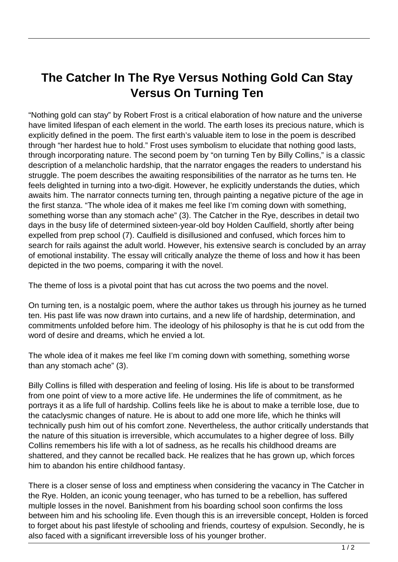## **The Catcher In The Rye Versus Nothing Gold Can Stay Versus On Turning Ten**

"Nothing gold can stay" by Robert Frost is a critical elaboration of how nature and the universe have limited lifespan of each element in the world. The earth loses its precious nature, which is explicitly defined in the poem. The first earth's valuable item to lose in the poem is described through "her hardest hue to hold." Frost uses symbolism to elucidate that nothing good lasts, through incorporating nature. The second poem by "on turning Ten by Billy Collins," is a classic description of a melancholic hardship, that the narrator engages the readers to understand his struggle. The poem describes the awaiting responsibilities of the narrator as he turns ten. He feels delighted in turning into a two-digit. However, he explicitly understands the duties, which awaits him. The narrator connects turning ten, through painting a negative picture of the age in the first stanza. "The whole idea of it makes me feel like I'm coming down with something, something worse than any stomach ache" (3). The Catcher in the Rye, describes in detail two days in the busy life of determined sixteen-year-old boy Holden Caulfield, shortly after being expelled from prep school (7). Caulfield is disillusioned and confused, which forces him to search for rails against the adult world. However, his extensive search is concluded by an array of emotional instability. The essay will critically analyze the theme of loss and how it has been depicted in the two poems, comparing it with the novel.

The theme of loss is a pivotal point that has cut across the two poems and the novel.

On turning ten, is a nostalgic poem, where the author takes us through his journey as he turned ten. His past life was now drawn into curtains, and a new life of hardship, determination, and commitments unfolded before him. The ideology of his philosophy is that he is cut odd from the word of desire and dreams, which he envied a lot.

The whole idea of it makes me feel like I'm coming down with something, something worse than any stomach ache" (3).

Billy Collins is filled with desperation and feeling of losing. His life is about to be transformed from one point of view to a more active life. He undermines the life of commitment, as he portrays it as a life full of hardship. Collins feels like he is about to make a terrible lose, due to the cataclysmic changes of nature. He is about to add one more life, which he thinks will technically push him out of his comfort zone. Nevertheless, the author critically understands that the nature of this situation is irreversible, which accumulates to a higher degree of loss. Billy Collins remembers his life with a lot of sadness, as he recalls his childhood dreams are shattered, and they cannot be recalled back. He realizes that he has grown up, which forces him to abandon his entire childhood fantasy.

There is a closer sense of loss and emptiness when considering the vacancy in The Catcher in the Rye. Holden, an iconic young teenager, who has turned to be a rebellion, has suffered multiple losses in the novel. Banishment from his boarding school soon confirms the loss between him and his schooling life. Even though this is an irreversible concept, Holden is forced to forget about his past lifestyle of schooling and friends, courtesy of expulsion. Secondly, he is also faced with a significant irreversible loss of his younger brother.